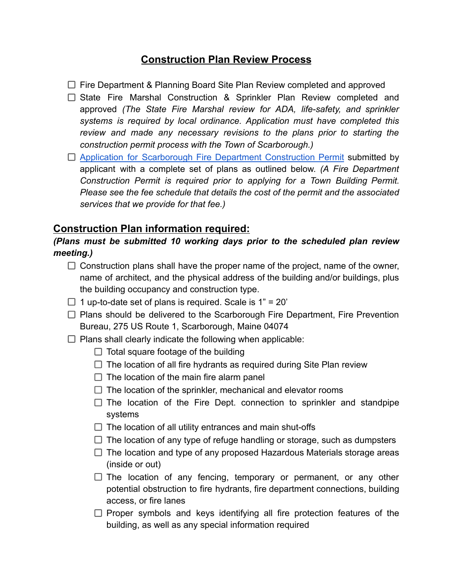## **Construction Plan Review Process**

 $\Box$  Fire Department & Planning Board Site Plan Review completed and approved

- $\Box$  State Fire Marshal Construction & Sprinkler Plan Review completed and approved *(The State Fire Marshal review for ADA, life-safety, and sprinkler systems is required by local ordinance. Application must have completed this review and made any necessary revisions to the plans prior to starting the construction permit process with the Town of Scarborough.)*
- □ Application for [Scarborough](https://resources.finalsite.net/images/v1643737985/scarboroughmaineorg/b6tmbeoamewqkezegcp2/2018CommercialBuildingPermit.pdf) Fire Department Construction Permit submitted by applicant with a complete set of plans as outlined below. *(A Fire Department Construction Permit is required prior to applying for a Town Building Permit. Please see the fee schedule that details the cost of the permit and the associated services that we provide for that fee.)*

## **Construction Plan information required:**

## *(Plans must be submitted 10 working days prior to the scheduled plan review meeting.)*

- $\Box$  Construction plans shall have the proper name of the project, name of the owner, name of architect, and the physical address of the building and/or buildings, plus the building occupancy and construction type.
- $\Box$  1 up-to-date set of plans is required. Scale is 1" = 20"
- $\Box$  Plans should be delivered to the Scarborough Fire Department, Fire Prevention Bureau, 275 US Route 1, Scarborough, Maine 04074
- $\Box$  Plans shall clearly indicate the following when applicable:
	- $\Box$  Total square footage of the building
	- $\Box$  The location of all fire hydrants as required during Site Plan review
	- $\Box$  The location of the main fire alarm panel
	- $\Box$  The location of the sprinkler, mechanical and elevator rooms
	- $\Box$  The location of the Fire Dept. connection to sprinkler and standpipe systems
	- $\Box$  The location of all utility entrances and main shut-offs
	- $\Box$  The location of any type of refuge handling or storage, such as dumpsters
	- $\Box$  The location and type of any proposed Hazardous Materials storage areas (inside or out)
	- $\Box$  The location of any fencing, temporary or permanent, or any other potential obstruction to fire hydrants, fire department connections, building access, or fire lanes
	- $\Box$  Proper symbols and keys identifying all fire protection features of the building, as well as any special information required